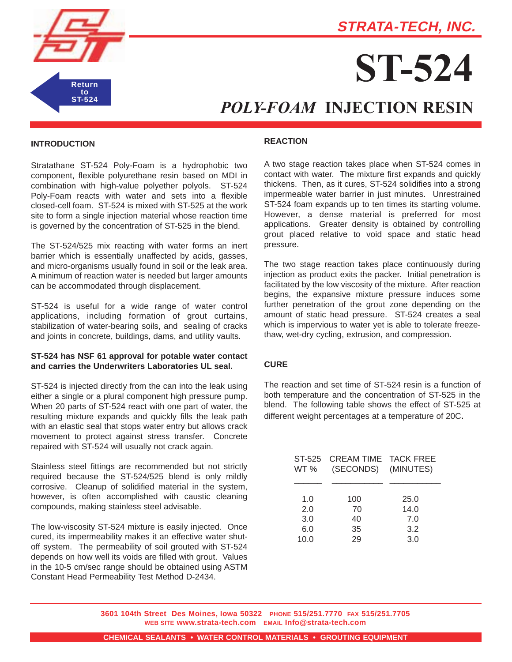

# **STRATA-TECH, INC.**

# **ST-524**

# *POLY-FOAM* **INJECTION RESIN**

### **INTRODUCTION**

Stratathane ST-524 Poly-Foam is a hydrophobic two component, flexible polyurethane resin based on MDI in combination with high-value polyether polyols. ST-524 Poly-Foam reacts with water and sets into a flexible closed-cell foam. ST-524 is mixed with ST-525 at the work site to form a single injection material whose reaction time is governed by the concentration of ST-525 in the blend.

The ST-524/525 mix reacting with water forms an inert barrier which is essentially unaffected by acids, gasses, and micro-organisms usually found in soil or the leak area. A minimum of reaction water is needed but larger amounts can be accommodated through displacement.

ST-524 is useful for a wide range of water control applications, including formation of grout curtains, stabilization of water-bearing soils, and sealing of cracks and joints in concrete, buildings, dams, and utility vaults.

# **ST-524 has NSF 61 approval for potable water contact and carries the Underwriters Laboratories UL seal.**

ST-524 is injected directly from the can into the leak using either a single or a plural component high pressure pump. When 20 parts of ST-524 react with one part of water, the resulting mixture expands and quickly fills the leak path with an elastic seal that stops water entry but allows crack movement to protect against stress transfer. Concrete repaired with ST-524 will usually not crack again.

Stainless steel fittings are recommended but not strictly required because the ST-524/525 blend is only mildly corrosive. Cleanup of solidified material in the system, however, is often accomplished with caustic cleaning compounds, making stainless steel advisable.

The low-viscosity ST-524 mixture is easily injected. Once cured, its impermeability makes it an effective water shutoff system. The permeability of soil grouted with ST-524 depends on how well its voids are filled with grout. Values in the 10-5 cm/sec range should be obtained using ASTM Constant Head Permeability Test Method D-2434.

#### **REACTION**

A two stage reaction takes place when ST-524 comes in contact with water. The mixture first expands and quickly thickens. Then, as it cures, ST-524 solidifies into a strong impermeable water barrier in just minutes. Unrestrained ST-524 foam expands up to ten times its starting volume. However, a dense material is preferred for most applications. Greater density is obtained by controlling grout placed relative to void space and static head pressure.

The two stage reaction takes place continuously during injection as product exits the packer. Initial penetration is facilitated by the low viscosity of the mixture. After reaction begins, the expansive mixture pressure induces some further penetration of the grout zone depending on the amount of static head pressure. ST-524 creates a seal which is impervious to water yet is able to tolerate freezethaw, wet-dry cycling, extrusion, and compression.

# **CURE**

The reaction and set time of ST-524 resin is a function of both temperature and the concentration of ST-525 in the blend. The following table shows the effect of ST-525 at different weight percentages at a temperature of 20C.

| ST-525<br>WT % | <b>CREAM TIME TACK FREE</b><br>(SECONDS) (MINUTES) |              |
|----------------|----------------------------------------------------|--------------|
| 1.0<br>2.0     | 100<br>70                                          | 25.0<br>14.0 |
| 3.0            | 40                                                 | 7.0          |
| 6.0            | 35                                                 | 3.2          |
| 10.0           | 29                                                 | 3.0          |

**3601 104th Street Des Moines, Iowa 50322 PHONE 515/251.7770 FAX 515/251.7705 WEB SITE www.strata-tech.com EMAIL Info@strata-tech.com**